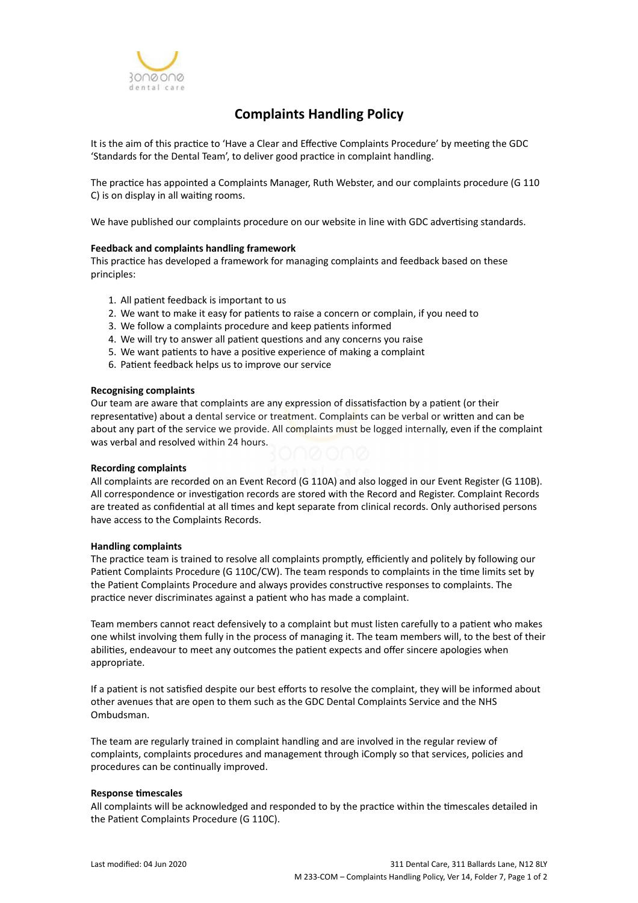

# **Complaints Handling Policy**

It is the aim of this practice to 'Have a Clear and Effective Complaints Procedure' by meeting the GDC 'Standards for the Dental Team', to deliver good practice in complaint handling.

The practice has appointed a Complaints Manager, Ruth Webster, and our complaints procedure (G 110 C) is on display in all waiting rooms.

We have published our complaints procedure on our website in line with GDC advertising standards.

## **Feedback and complaints handling framework**

This practice has developed a framework for managing complaints and feedback based on these principles:

- 1. All patient feedback is important to us
- 2. We want to make it easy for patients to raise a concern or complain, if you need to
- 3. We follow a complaints procedure and keep patients informed
- 4. We will try to answer all patient questions and any concerns you raise
- 5. We want patients to have a positive experience of making a complaint
- 6. Patient feedback helps us to improve our service

#### **Recognising complaints**

Our team are aware that complaints are any expression of dissatisfaction by a patient (or their representative) about a dental service or treatment. Complaints can be verbal or written and can be about any part of the service we provide. All complaints must be logged internally, even if the complaint was verbal and resolved within 24 hours.

#### **Recording complaints**

All complaints are recorded on an Event Record (G 110A) and also logged in our Event Register (G 110B). All correspondence or investigation records are stored with the Record and Register. Complaint Records are treated as confidential at all times and kept separate from clinical records. Only authorised persons have access to the Complaints Records.

#### **Handling complaints**

The practice team is trained to resolve all complaints promptly, efficiently and politely by following our Patient Complaints Procedure (G 110C/CW). The team responds to complaints in the time limits set by the Patient Complaints Procedure and always provides constructive responses to complaints. The practice never discriminates against a patient who has made a complaint.

Team members cannot react defensively to a complaint but must listen carefully to a patient who makes one whilst involving them fully in the process of managing it. The team members will, to the best of their abilities, endeavour to meet any outcomes the patient expects and offer sincere apologies when appropriate.

If a patient is not satisfied despite our best efforts to resolve the complaint, they will be informed about other avenues that are open to them such as the GDC Dental Complaints Service and the NHS Ombudsman.

The team are regularly trained in complaint handling and are involved in the regular review of complaints, complaints procedures and management through iComply so that services, policies and procedures can be continually improved.

#### **Response timescales**

All complaints will be acknowledged and responded to by the practice within the timescales detailed in the Patient Complaints Procedure (G 110C).